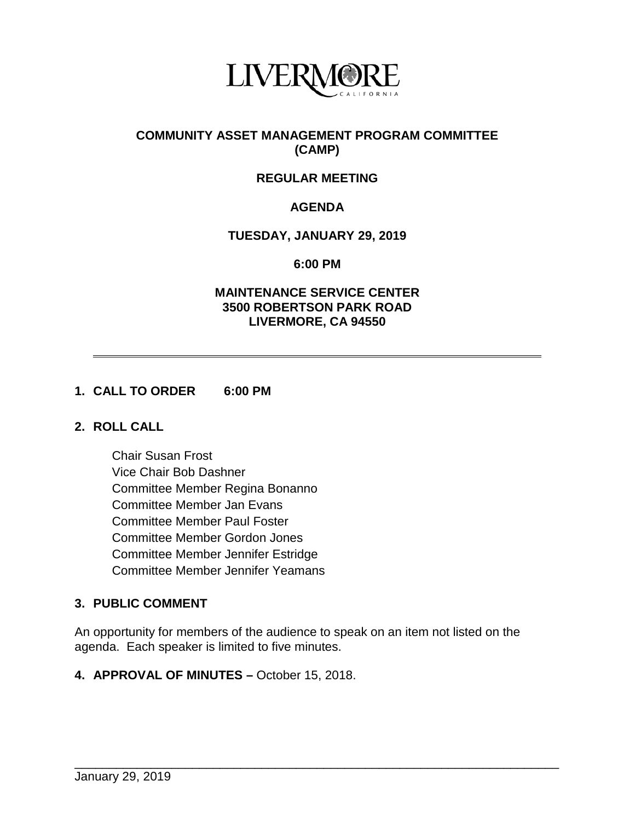

# **COMMUNITY ASSET MANAGEMENT PROGRAM COMMITTEE (CAMP)**

# **REGULAR MEETING**

# **AGENDA**

#### **TUESDAY, JANUARY 29, 2019**

**6:00 PM**

#### **MAINTENANCE SERVICE CENTER 3500 ROBERTSON PARK ROAD LIVERMORE, CA 94550**

#### **1. CALL TO ORDER 6:00 PM**

### **2. ROLL CALL**

Chair Susan Frost Vice Chair Bob Dashner Committee Member Regina Bonanno Committee Member Jan Evans Committee Member Paul Foster Committee Member Gordon Jones Committee Member Jennifer Estridge Committee Member Jennifer Yeamans

#### **3. PUBLIC COMMENT**

An opportunity for members of the audience to speak on an item not listed on the agenda. Each speaker is limited to five minutes.

\_\_\_\_\_\_\_\_\_\_\_\_\_\_\_\_\_\_\_\_\_\_\_\_\_\_\_\_\_\_\_\_\_\_\_\_\_\_\_\_\_\_\_\_\_\_\_\_\_\_\_\_\_\_\_\_\_\_\_\_\_\_\_\_\_\_\_\_\_\_

**4. APPROVAL OF MINUTES –** October 15, 2018.